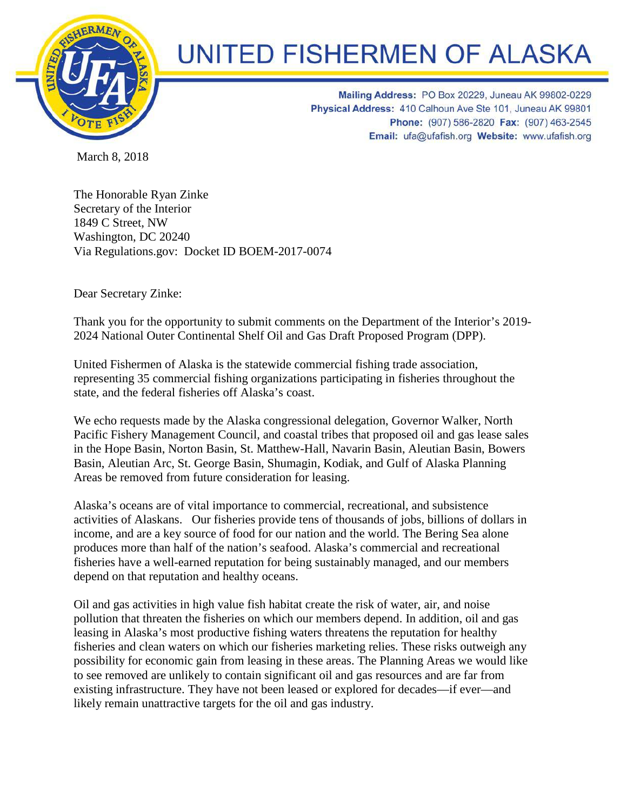

## **UNITED FISHERMEN OF ALASKA**

Mailing Address: PO Box 20229, Juneau AK 99802-0229 Physical Address: 410 Calhoun Ave Ste 101, Juneau AK 99801 Phone: (907) 586-2820 Fax: (907) 463-2545 Email: ufa@ufafish.org Website: www.ufafish.org

March 8, 2018

The Honorable Ryan Zinke Secretary of the Interior 1849 C Street, NW Washington, DC 20240 Via Regulations.gov: Docket ID BOEM-2017-0074

Dear Secretary Zinke:

Thank you for the opportunity to submit comments on the Department of the Interior's 2019- 2024 National Outer Continental Shelf Oil and Gas Draft Proposed Program (DPP).

United Fishermen of Alaska is the statewide commercial fishing trade association, representing 35 commercial fishing organizations participating in fisheries throughout the state, and the federal fisheries off Alaska's coast.

We echo requests made by the Alaska congressional delegation, Governor Walker, North Pacific Fishery Management Council, and coastal tribes that proposed oil and gas lease sales in the Hope Basin, Norton Basin, St. Matthew-Hall, Navarin Basin, Aleutian Basin, Bowers Basin, Aleutian Arc, St. George Basin, Shumagin, Kodiak, and Gulf of Alaska Planning Areas be removed from future consideration for leasing.

Alaska's oceans are of vital importance to commercial, recreational, and subsistence activities of Alaskans. Our fisheries provide tens of thousands of jobs, billions of dollars in income, and are a key source of food for our nation and the world. The Bering Sea alone produces more than half of the nation's seafood. Alaska's commercial and recreational fisheries have a well-earned reputation for being sustainably managed, and our members depend on that reputation and healthy oceans.

Oil and gas activities in high value fish habitat create the risk of water, air, and noise pollution that threaten the fisheries on which our members depend. In addition, oil and gas leasing in Alaska's most productive fishing waters threatens the reputation for healthy fisheries and clean waters on which our fisheries marketing relies. These risks outweigh any possibility for economic gain from leasing in these areas. The Planning Areas we would like to see removed are unlikely to contain significant oil and gas resources and are far from existing infrastructure. They have not been leased or explored for decades—if ever—and likely remain unattractive targets for the oil and gas industry.